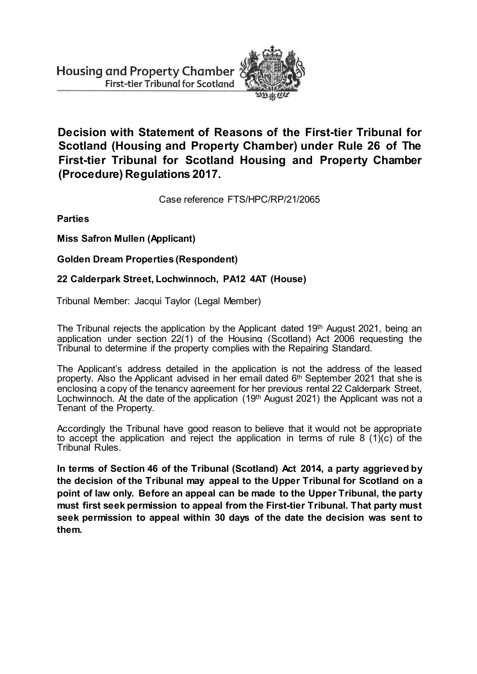

**Decision with Statement of Reasons of the First-tier Tribunal for Scotland (Housing and Property Chamber) under Rule 26 of The First-tier Tribunal for Scotland Housing and Property Chamber (Procedure) Regulations 2017.**

Case reference FTS/HPC/RP/21/2065

**Parties**

**Miss Safron Mullen (Applicant)**

**Golden Dream Properties (Respondent)**

## **22 Calderpark Street, Lochwinnoch, PA12 4AT (House)**

Tribunal Member: Jacqui Taylor (Legal Member)

The Tribunal rejects the application by the Applicant dated 19<sup>th</sup> August 2021, being an application under section 22(1) of the Housing (Scotland) Act 2006 requesting the Tribunal to determine if the property complies with the Repairing Standard.

The Applicant's address detailed in the application is not the address of the leased property. Also the Applicant advised in her email dated 6<sup>th</sup> September 2021 that she is enclosing a copy of the tenancy agreement for her previous rental 22 Calderpark Street, Lochwinnoch. At the date of the application (19th August 2021) the Applicant was not a Tenant of the Property.

Accordingly the Tribunal have good reason to believe that it would not be appropriate to accept the application and reject the application in terms of rule 8 (1)(c) of the Tribunal Rules.

**In terms of Section 46 of the Tribunal (Scotland) Act 2014, a party aggrieved by the decision of the Tribunal may appeal to the Upper Tribunal for Scotland on a point of law only. Before an appeal can be made to the Upper Tribunal, the party must first seek permission to appeal from the First-tier Tribunal. That party must seek permission to appeal within 30 days of the date the decision was sent to them.**